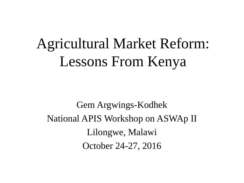# Agricultural Market Reform: Lessons From Kenya

Gem Argwings-Kodhek National APIS Workshop on ASWAp II Lilongwe, Malawi October 24-27, 2016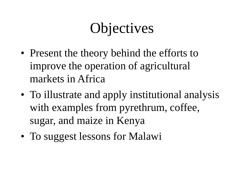# **Objectives**

- Present the theory behind the efforts to improve the operation of agricultural markets in Africa
- To illustrate and apply institutional analysis with examples from pyrethrum, coffee, sugar, and maize in Kenya
- To suggest lessons for Malawi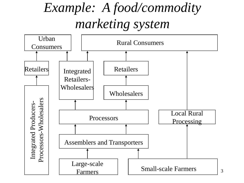## *Example: A food/commodity marketing system*

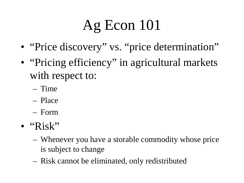# Ag Econ 101

- "Price discovery" vs. "price determination"
- "Pricing efficiency" in agricultural markets with respect to:
	- Time
	- Place
	- Form
- $\bullet$  "Risk"
	- Whenever you have a storable commodity whose price is subject to change
	- Risk cannot be eliminated, only redistributed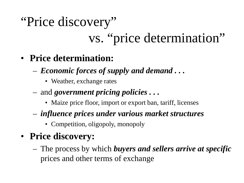# "Price discovery" vs. "price determination"

- **Price determination:** 
	- *Economic forces of supply and demand . . .*
		- Weather, exchange rates
	- and *government pricing policies . . .*
		- Maize price floor, import or export ban, tariff, licenses
	- *influence prices under various market structures*
		- Competition, oligopoly, monopoly

#### • **Price discovery:**

– The process by which *buyers and sellers arrive at specific*  prices and other terms of exchange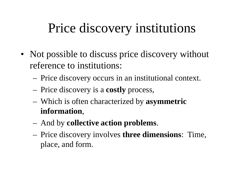### Price discovery institutions

- Not possible to discuss price discovery without reference to institutions:
	- Price discovery occurs in an institutional context.
	- Price discovery is a **costly** process,
	- Which is often characterized by **asymmetric information**,
	- And by **collective action problems**.
	- Price discovery involves **three dimensions**: Time, place, and form.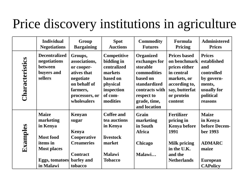## Price discovery institutions in agriculture

|                 | <b>Individual</b><br><b>Negotiations</b>                                                                                   | Group<br><b>Bargaining</b>                                                                                                      | <b>Spot</b><br><b>Auctions</b>                                                                                   | <b>Commodity</b><br><b>Futures</b>                                                                                                                       | Formula<br>Pricing                                                                                                                            | <b>Administered</b><br><b>Prices</b>                                                                                  |
|-----------------|----------------------------------------------------------------------------------------------------------------------------|---------------------------------------------------------------------------------------------------------------------------------|------------------------------------------------------------------------------------------------------------------|----------------------------------------------------------------------------------------------------------------------------------------------------------|-----------------------------------------------------------------------------------------------------------------------------------------------|-----------------------------------------------------------------------------------------------------------------------|
| Characteristics | <b>Decentralized</b><br>negotiations<br>between<br>buyers and<br>sellers                                                   | Groups,<br>associations,<br>or cooper-<br>atives that<br>negotiate<br>on behalf of<br>farmers,<br>processors, or<br>wholesalers | Competitive<br>bidding in<br>centralized<br>markets<br>based on<br>physical<br>inspection<br>of com-<br>modities | <b>Organized</b><br>exchanges for<br>storable<br>commodities<br>based on<br>standardized<br>contracts with<br>respect to<br>grade, time,<br>and location | <b>Prices based</b><br>on benchmark<br>prices either<br>in central<br>markets, or<br>according to,<br>say, butterfat<br>or protein<br>content | <b>Prices</b><br>established<br>and<br>controlled<br>by govern-<br>ments,<br>usually for<br>political<br>reasons      |
| Examples        | <b>Maize</b><br>marketing<br>in Kenya<br><b>Most food</b><br>items in<br><b>Most places</b><br>Eggs, tomatoes<br>in Malawi | Kenyan<br>sugar<br>Kenya<br>Cooperative<br><b>Creameries</b><br><b>Contract</b><br>barley and<br>tobacco                        | <b>Coffee and</b><br>tea auctions<br>in Kenya<br>livestock<br>market<br><b>Malawi</b><br><b>Tobacco</b>          | Grain<br>marketing<br>in South<br><b>Africa</b><br>Chicago<br>Malawi                                                                                     | <b>Fertilizer</b><br>pricing in<br><b>Kenya before</b><br>1991<br><b>Milk pricing</b><br>in the U.K.<br>and the<br><b>Netherlands</b>         | <b>Maize</b><br>in Kenya<br>before Decem-<br>ber 1993<br><b>ADMARC</b><br>maize<br><b>European</b><br><b>CAPolicy</b> |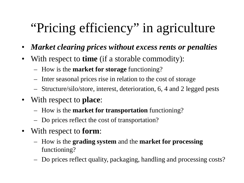## "Pricing efficiency" in agriculture

- *Market clearing prices without excess rents or penalties*
- With respect to **time** (if a storable commodity):
	- How is the **market for storage** functioning?
	- Inter seasonal prices rise in relation to the cost of storage
	- Structure/silo/store, interest, deterioration, 6, 4 and 2 legged pests
- With respect to **place**:
	- How is the **market for transportation** functioning?
	- Do prices reflect the cost of transportation?
- With respect to **form**:
	- How is the **grading system** and the **market for processing**  functioning?
	- Do prices reflect quality, packaging, handling and processing costs?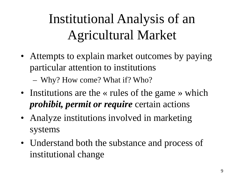# Institutional Analysis of an Agricultural Market

• Attempts to explain market outcomes by paying particular attention to institutions

– Why? How come? What if? Who?

- Institutions are the « rules of the game » which *prohibit, permit or require* certain actions
- Analyze institutions involved in marketing systems
- Understand both the substance and process of institutional change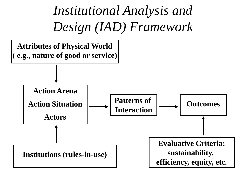*Institutional Analysis and Design (IAD) Framework*

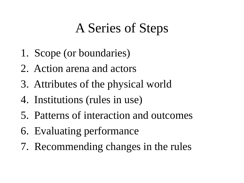## A Series of Steps

- 1. Scope (or boundaries)
- 2. Action arena and actors
- 3. Attributes of the physical world
- 4. Institutions (rules in use)
- 5. Patterns of interaction and outcomes
- 6. Evaluating performance
- 7. Recommending changes in the rules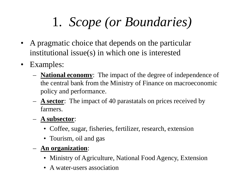# 1. *Scope (or Boundaries)*

- A pragmatic choice that depends on the particular institutional issue(s) in which one is interested
- Examples:
	- **National economy**: The impact of the degree of independence of the central bank from the Ministry of Finance on macroeconomic policy and performance.
	- **A sector**: The impact of 40 parastatals on prices received by farmers.
	- **A subsector**:
		- Coffee, sugar, fisheries, fertilizer, research, extension
		- Tourism, oil and gas
	- **An organization**:
		- Ministry of Agriculture, National Food Agency, Extension
		- A water-users association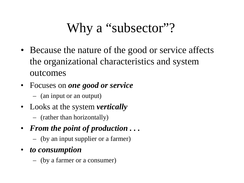## Why a "subsector"?

- Because the nature of the good or service affects the organizational characteristics and system outcomes
- Focuses on *one good or service* 
	- (an input or an output)
- Looks at the system *vertically*
	- (rather than horizontally)
- *From the point of production . . .*
	- (by an input supplier or a farmer)
- *to consumption* 
	- (by a farmer or a consumer)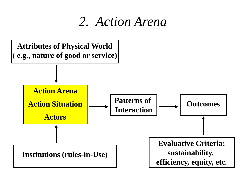#### *2. Action Arena*

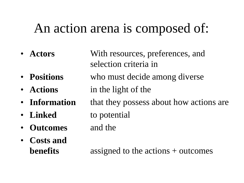#### An action arena is composed of:

• **Actors** • **Positions** • **Actions** • **Information** • **Linked** • **Outcomes** • **Costs and benefits** With resources, preferences, and selection criteria in who must decide among diverse in the light of the that they possess about how actions are to potential and the assigned to the actions + outcomes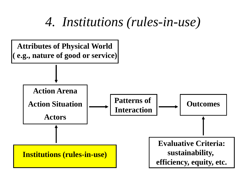#### *4. Institutions (rules-in-use)*

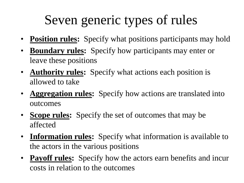## Seven generic types of rules

- **Position rules:** Specify what positions participants may hold
- **Boundary rules:** Specify how participants may enter or leave these positions
- **Authority rules:** Specify what actions each position is allowed to take
- **Aggregation rules:** Specify how actions are translated into outcomes
- **Scope rules:** Specify the set of outcomes that may be affected
- **Information rules:** Specify what information is available to the actors in the various positions
- **Payoff rules:** Specify how the actors earn benefits and incur costs in relation to the outcomes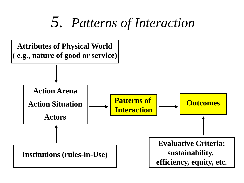## *5. Patterns of Interaction*

![](_page_17_Figure_1.jpeg)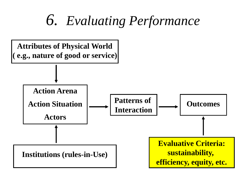## *6. Evaluating Performance*

![](_page_18_Figure_1.jpeg)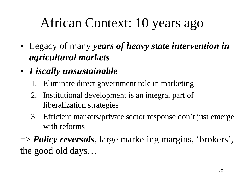## African Context: 10 years ago

- Legacy of many *years of heavy state intervention in agricultural markets*
- *Fiscally unsustainable*
	- 1. Eliminate direct government role in marketing
	- 2. Institutional development is an integral part of liberalization strategies
	- 3. Efficient markets/private sector response don't just emerge with reforms

=> *Policy reversals*, large marketing margins, 'brokers', the good old days…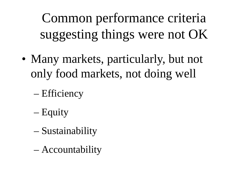Common performance criteria suggesting things were not OK

- Many markets, particularly, but not only food markets, not doing well
	- Efficiency
	- Equity
	- Sustainability
	- Accountability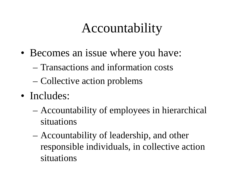### Accountability

- Becomes an issue where you have:
	- Transactions and information costs
	- Collective action problems
- Includes:
	- Accountability of employees in hierarchical situations
	- Accountability of leadership, and other responsible individuals, in collective action situations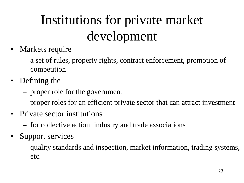# Institutions for private market development

- Markets require
	- a set of rules, property rights, contract enforcement, promotion of competition
- Defining the
	- proper role for the government
	- proper roles for an efficient private sector that can attract investment
- Private sector institutions
	- for collective action: industry and trade associations
- Support services
	- quality standards and inspection, market information, trading systems, etc.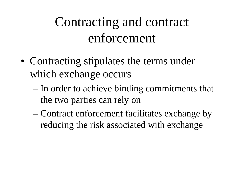## Contracting and contract enforcement

- Contracting stipulates the terms under which exchange occurs
	- In order to achieve binding commitments that the two parties can rely on
	- Contract enforcement facilitates exchange by reducing the risk associated with exchange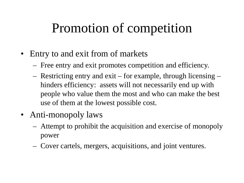### Promotion of competition

- Entry to and exit from of markets
	- Free entry and exit promotes competition and efficiency.
	- Restricting entry and exit for example, through licensing hinders efficiency: assets will not necessarily end up with people who value them the most and who can make the best use of them at the lowest possible cost.
- Anti-monopoly laws
	- Attempt to prohibit the acquisition and exercise of monopoly power
	- Cover cartels, mergers, acquisitions, and joint ventures.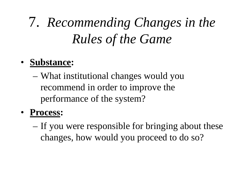# 7. *Recommending Changes in the Rules of the Game*

#### • **Substance:**

– What institutional changes would you recommend in order to improve the performance of the system?

#### • **Process:**

– If you were responsible for bringing about these changes, how would you proceed to do so?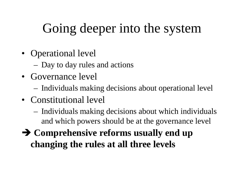### Going deeper into the system

- Operational level
	- Day to day rules and actions
- Governance level
	- Individuals making decisions about operational level
- Constitutional level
	- Individuals making decisions about which individuals and which powers should be at the governance level
- **Comprehensive reforms usually end up changing the rules at all three levels**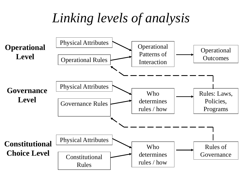#### *Linking levels of analysis*

![](_page_27_Figure_1.jpeg)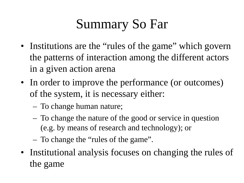## Summary So Far

- Institutions are the "rules of the game" which govern the patterns of interaction among the different actors in a given action arena
- In order to improve the performance (or outcomes) of the system, it is necessary either:
	- To change human nature;
	- To change the nature of the good or service in question (e.g. by means of research and technology); or
	- To change the "rules of the game".
- Institutional analysis focuses on changing the rules of the game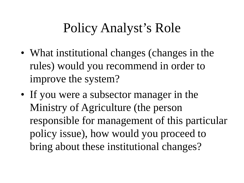## Policy Analyst's Role

- What institutional changes (changes in the rules) would you recommend in order to improve the system?
- If you were a subsector manager in the Ministry of Agriculture (the person responsible for management of this particular policy issue), how would you proceed to bring about these institutional changes?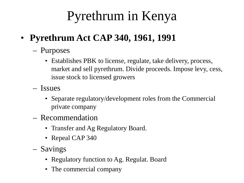## Pyrethrum in Kenya

- **Pyrethrum Act CAP 340, 1961, 1991**
	- Purposes
		- Establishes PBK to license, regulate, take delivery, process, market and sell pyrethrum. Divide proceeds. Impose levy, cess, issue stock to licensed growers
	- Issues
		- Separate regulatory/development roles from the Commercial private company
	- Recommendation
		- Transfer and Ag Regulatory Board.
		- Repeal CAP 340
	- Savings
		- Regulatory function to Ag. Regulat. Board
		- The commercial company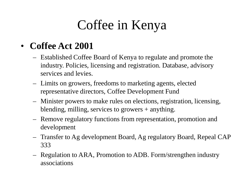## Coffee in Kenya

#### • **Coffee Act 2001**

- Established Coffee Board of Kenya to regulate and promote the industry. Policies, licensing and registration. Database, advisory services and levies.
- Limits on growers, freedoms to marketing agents, elected representative directors, Coffee Development Fund
- Minister powers to make rules on elections, registration, licensing, blending, milling, services to growers + anything.
- Remove regulatory functions from representation, promotion and development
- Transfer to Ag development Board, Ag regulatory Board, Repeal CAP 333
- Regulation to ARA, Promotion to ADB. Form/strengthen industry associations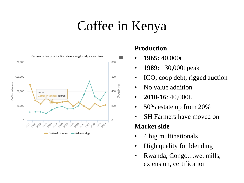## Coffee in Kenya

![](_page_32_Figure_1.jpeg)

#### **Production**

- **1965:** 40,000t
- **1989:** 130,000t peak
- ICO, coop debt, rigged auction
- No value addition
- **2010-16**: 40,000t…
- 50% estate up from 20%
- SH Farmers have moved on

#### **Market side**

- 4 big multinationals
- High quality for blending
- Rwanda, Congo...wet mills, extension, certification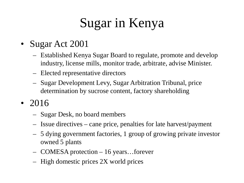## Sugar in Kenya

- Sugar Act 2001
	- Established Kenya Sugar Board to regulate, promote and develop industry, license mills, monitor trade, arbitrate, advise Minister.
	- Elected representative directors
	- Sugar Development Levy, Sugar Arbitration Tribunal, price determination by sucrose content, factory shareholding
- 2016
	- Sugar Desk, no board members
	- Issue directives cane price, penalties for late harvest/payment
	- 5 dying government factories, 1 group of growing private investor owned 5 plants
	- COMESA protection 16 years…forever
	- High domestic prices 2X world prices